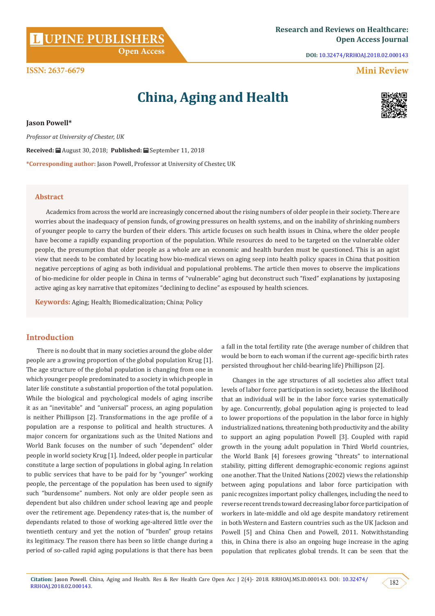# **L**

**DOI:** [10.32474/RRHOAJ.2018.02.000143](http://dx.doi.org/10.32474/RRHOAJ.2018.02.000143)

# **Mini Review**

# **China, Aging and Health**

**Jason Powell\*** 

**ISSN: 2637-6679**

*Professor at University of Chester, UK*

**Received:** August 30, 2018; **Published:** September 11, 2018

**\*Corresponding author:** Jason Powell, Professor at University of Chester, UK

#### **Abstract**

Academics from across the world are increasingly concerned about the rising numbers of older people in their society. There are worries about the inadequacy of pension funds, of growing pressures on health systems, and on the inability of shrinking numbers of younger people to carry the burden of their elders. This article focuses on such health issues in China, where the older people have become a rapidly expanding proportion of the population. While resources do need to be targeted on the vulnerable older people, the presumption that older people as a whole are an economic and health burden must be questioned. This is an agist view that needs to be combated by locating how bio-medical views on aging seep into health policy spaces in China that position negative perceptions of aging as both individual and populational problems. The article then moves to observe the implications of bio-medicine for older people in China in terms of "vulnerable" aging but deconstruct such "fixed" explanations by juxtaposing active aging as key narrative that epitomizes "declining to decline" as espoused by health sciences.

**Keywords:** Aging; Health; Biomedicalization; China; Policy

# **Introduction**

There is no doubt that in many societies around the globe older people are a growing proportion of the global population Krug [1]. The age structure of the global population is changing from one in which younger people predominated to a society in which people in later life constitute a substantial proportion of the total population. While the biological and psychological models of aging inscribe it as an "inevitable" and "universal" process, an aging population is neither Phillipson [2]. Transformations in the age profile of a population are a response to political and health structures. A major concern for organizations such as the United Nations and World Bank focuses on the number of such "dependent" older people in world society Krug [1]. Indeed, older people in particular constitute a large section of populations in global aging. In relation to public services that have to be paid for by "younger" working people, the percentage of the population has been used to signify such "burdensome" numbers. Not only are older people seen as dependent but also children under school leaving age and people over the retirement age. Dependency rates-that is, the number of dependants related to those of working age-altered little over the twentieth century and yet the notion of "burden" group retains its legitimacy. The reason there has been so little change during a period of so-called rapid aging populations is that there has been

a fall in the total fertility rate (the average number of children that would be born to each woman if the current age-specific birth rates persisted throughout her child-bearing life) Phillipson [2].

Changes in the age structures of all societies also affect total levels of labor force participation in society, because the likelihood that an individual will be in the labor force varies systematically by age. Concurrently, global population aging is projected to lead to lower proportions of the population in the labor force in highly industrialized nations, threatening both productivity and the ability to support an aging population Powell [3]. Coupled with rapid growth in the young adult population in Third World countries, the World Bank [4] foresees growing "threats" to international stability, pitting different demographic-economic regions against one another. That the United Nations (2002) views the relationship between aging populations and labor force participation with panic recognizes important policy challenges, including the need to reverse recent trends toward decreasing labor force participation of workers in late-middle and old age despite mandatory retirement in both Western and Eastern countries such as the UK Jackson and Powell [5] and China Chen and Powell, 2011. Notwithstanding this, in China there is also an ongoing huge increase in the aging population that replicates global trends. It can be seen that the

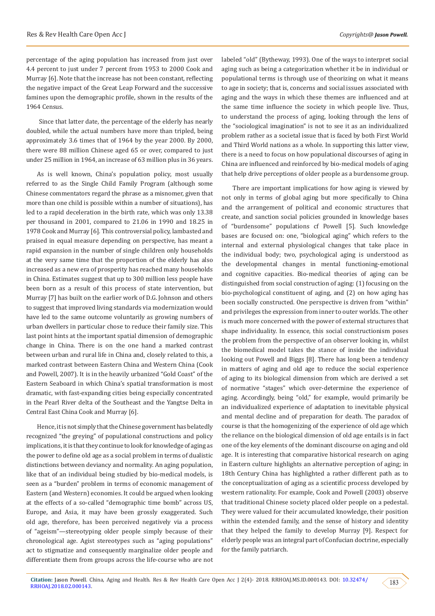percentage of the aging population has increased from just over 4.4 percent to just under 7 percent from 1953 to 2000 Cook and Murray [6]. Note that the increase has not been constant, reflecting the negative impact of the Great Leap Forward and the successive famines upon the demographic profile, shown in the results of the 1964 Census.

 Since that latter date, the percentage of the elderly has nearly doubled, while the actual numbers have more than tripled, being approximately 3.6 times that of 1964 by the year 2000. By 2000, there were 88 million Chinese aged 65 or over, compared to just under 25 million in 1964, an increase of 63 million plus in 36 years.

As is well known, China's population policy, most usually referred to as the Single Child Family Program (although some Chinese commentators regard the phrase as a misnomer, given that more than one child is possible within a number of situations), has led to a rapid deceleration in the birth rate, which was only 13.38 per thousand in 2001, compared to 21.06 in 1990 and 18.25 in 1978 Cook and Murray [6]. This controversial policy, lambasted and praised in equal measure depending on perspective, has meant a rapid expansion in the number of single children only households at the very same time that the proportion of the elderly has also increased as a new era of prosperity has reached many households in China. Estimates suggest that up to 300 million less people have been born as a result of this process of state intervention, but Murray [7] has built on the earlier work of D.G. Johnson and others to suggest that improved living standards via modernization would have led to the same outcome voluntarily as growing numbers of urban dwellers in particular chose to reduce their family size. This last point hints at the important spatial dimension of demographic change in China. There is on the one hand a marked contrast between urban and rural life in China and, closely related to this, a marked contrast between Eastern China and Western China (Cook and Powell, 2007). It is in the heavily urbanized "Gold Coast" of the Eastern Seaboard in which China's spatial transformation is most dramatic, with fast-expanding cities being especially concentrated in the Pearl River delta of the Southeast and the Yangtse Delta in Central East China Cook and Murray [6].

Hence, it is not simply that the Chinese government has belatedly recognized "the greying" of populational constructions and policy implications, it is that they continue to look for knowledge of aging as the power to define old age as a social problem in terms of dualistic distinctions between deviancy and normality. An aging population, like that of an individual being studied by bio-medical models, is seen as a "burden" problem in terms of economic management of Eastern (and Western) economies. It could be argued when looking at the effects of a so-called "demographic time bomb" across US, Europe, and Asia, it may have been grossly exaggerated. Such old age, therefore, has been perceived negatively via a process of "ageism"—stereotyping older people simply because of their chronological age. Agist stereotypes such as "aging populations" act to stigmatize and consequently marginalize older people and differentiate them from groups across the life-course who are not labeled "old" (Bytheway, 1993). One of the ways to interpret social aging such as being a categorization whether it be in individual or populational terms is through use of theorizing on what it means to age in society; that is, concerns and social issues associated with aging and the ways in which these themes are influenced and at the same time influence the society in which people live. Thus, to understand the process of aging, looking through the lens of the "sociological imagination" is not to see it as an individualized problem rather as a societal issue that is faced by both First World and Third World nations as a whole. In supporting this latter view, there is a need to focus on how populational discourses of aging in China are influenced and reinforced by bio-medical models of aging that help drive perceptions of older people as a burdensome group.

There are important implications for how aging is viewed by not only in terms of global aging but more specifically to China and the arrangement of political and economic structures that create, and sanction social policies grounded in knowledge bases of "burdensome" populations cf Powell [5]. Such knowledge bases are focused on: one, "biological aging" which refers to the internal and external physiological changes that take place in the individual body; two, psychological aging is understood as the developmental changes in mental functioning-emotional and cognitive capacities. Bio-medical theories of aging can be distinguished from social construction of aging: (1) focusing on the bio-psychological constituent of aging, and (2) on how aging has been socially constructed. One perspective is driven from "within" and privileges the expression from inner to outer worlds. The other is much more concerned with the power of external structures that shape individuality. In essence, this social constructionism poses the problem from the perspective of an observer looking in, whilst the biomedical model takes the stance of inside the individual looking out Powell and Biggs [8]. There has long been a tendency in matters of aging and old age to reduce the social experience of aging to its biological dimension from which are derived a set of normative "stages" which over-determine the experience of aging. Accordingly, being "old," for example, would primarily be an individualized experience of adaptation to inevitable physical and mental decline and of preparation for death. The paradox of course is that the homogenizing of the experience of old age which the reliance on the biological dimension of old age entails is in fact one of the key elements of the dominant discourse on aging and old age. It is interesting that comparative historical research on aging in Eastern culture highlights an alternative perception of aging; in 18th Century China has highlighted a rather different path as to the conceptualization of aging as a scientific process developed by western rationality. For example, Cook and Powell (2003) observe that traditional Chinese society placed older people on a pedestal. They were valued for their accumulated knowledge, their position within the extended family, and the sense of history and identity that they helped the family to develop Murray [9]. Respect for elderly people was an integral part of Confucian doctrine, especially for the family patriarch.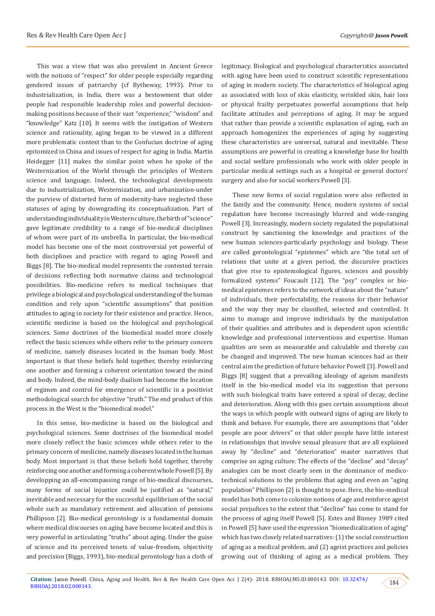This was a view that was also prevalent in Ancient Greece with the notions of "respect" for older people especially regarding gendered issues of patriarchy (cf Bytheway, 1993). Prior to industrialization, in India, there was a bestowment that older people had responsible leadership roles and powerful decisionmaking positions because of their vast "experience," "wisdom" and "knowledge" Katz [10]. It seems with the instigation of Western science and rationality, aging began to be viewed in a different more problematic context than to the Confucian doctrine of aging epitomized in China and issues of respect for aging in India. Martin Heidegger [11] makes the similar point when he spoke of the Westernization of the World through the principles of Western science and language. Indeed, the technological developments due to industrialization, Westernization, and urbanization-under the purview of distorted form of modernity-have neglected these statuses of aging by downgrading its conceptualization. Part of understanding individuality in Western culture, the birth of "science" gave legitimate credibility to a range of bio-medical disciplines of whom were part of its umbrella. In particular, the bio-medical model has become one of the most controversial yet powerful of both disciplines and practice with regard to aging Powell and Biggs [8]. The bio-medical model represents the contested terrain of decisions reflecting both normative claims and technological possibilities. Bio-medicine refers to medical techniques that privilege a biological and psychological understanding of the human condition and rely upon "scientific assumptions" that position attitudes to aging in society for their existence and practice. Hence, scientific medicine is based on the biological and psychological sciences. Some doctrines of the biomedical model more closely reflect the basic sciences while others refer to the primary concern of medicine, namely diseases located in the human body. Most important is that these beliefs hold together, thereby reinforcing one another and forming a coherent orientation toward the mind and body. Indeed, the mind-body dualism had become the location of regimen and control for emergence of scientific in a positivist methodological search for objective "truth." The end product of this process in the West is the "biomedical model."

In this sense, bio-medicine is based on the biological and psychological sciences. Some doctrines of the biomedical model more closely reflect the basic sciences while others refer to the primary concern of medicine, namely diseases located in the human body. Most important is that these beliefs hold together, thereby reinforcing one another and forming a coherent whole Powell [5]. By developping an all-encompassing range of bio-medical discourses, many forms of social injustice could be justified as "natural," inevitable and necessary for the successful equilibrium of the social whole such as mandatory retirement and allocation of pensions Phillipson [2]. Bio-medical gerontology is a fundamental domain where medical discourses on aging have become located and this is very powerful in articulating "truths" about aging. Under the guise of science and its perceived tenets of value-freedom, objectivity and precision (Biggs, 1993), bio-medical gerontology has a cloth of legitimacy. Biological and psychological characteristics associated with aging have been used to construct scientific representations of aging in modern society. The characteristics of biological aging as associated with loss of skin elasticity, wrinkled skin, hair loss or physical frailty perpetuates powerful assumptions that help facilitate attitudes and perceptions of aging. It may be argued that rather than provide a scientific explanation of aging, such an approach homogenizes the experiences of aging by suggesting these characteristics are universal, natural and inevitable. These assumptions are powerful in creating a knowledge base for health and social welfare professionals who work with older people in particular medical settings such as a hospital or general doctors' surgery and also for social workers Powell [3].

These new forms of social regulation were also reflected in the family and the community. Hence, modern systems of social regulation have become increasingly blurred and wide-ranging Powell [3]. Increasingly, modern society regulated the populational construct by sanctioning the knowledge and practices of the new human sciences-particularly psychology and biology. These are called gerontological "epistemes" which are "the total set of relations that unite at a given period, the discursive practices that give rise to epistemological figures, sciences and possibly formalized systems" Foucault [12]. The "psy" complex or biomedical epistemes refers to the network of ideas about the "nature" of individuals, their perfectability, the reasons for their behavior and the way they may be classified, selected and controlled. It aims to manage and improve individuals by the manipulation of their qualities and attributes and is dependent upon scientific knowledge and professional interventions and expertise. Human qualities are seen as measurable and calculable and thereby can be changed and improved. The new human sciences had as their central aim the prediction of future behavior Powell [3]. Powell and Biggs [8] suggest that a prevailing ideology of ageism manifests itself in the bio-medical model via its suggestion that persons with such biological traits have entered a spiral of decay, decline and deterioration. Along with this goes certain assumptions about the ways in which people with outward signs of aging are likely to think and behave. For example, there are assumptions that "older people are poor drivers" or that older people have little interest in relationships that involve sexual pleasure that are all explained away by "decline" and "deterioration" master narratives that comprise an aging culture. The effects of the "decline" and "decay" analogies can be most clearly seen in the dominance of medicotechnical solutions to the problems that aging and even an "aging population" Phillipson [2] is thought to pose. Here, the bio-medical model has both come to colonize notions of age and reinforce ageist social prejudices to the extent that "decline" has come to stand for the process of aging itself Powell [5]. Estes and Binney 1989 cited in Powell [5] have used the expression "biomedicalization of aging" which has two closely related narratives: (1) the social construction of aging as a medical problem, and (2) ageist practices and policies growing out of thinking of aging as a medical problem. They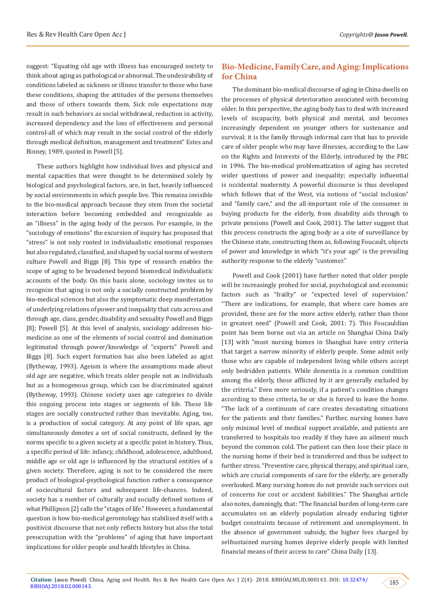suggest: "Equating old age with illness has encouraged society to think about aging as pathological or abnormal. The undesirability of conditions labeled as sickness or illness transfer to those who have these conditions, shaping the attitudes of the persons themselves and those of others towards them. Sick role expectations may result in such behaviors as social withdrawal, reduction in activity, increased dependency and the loss of effectiveness and personal control-all of which may result in the social control of the elderly through medical definition, management and treatment" Estes and Binney, 1989, quoted in Powell [5].

These authors highlight how individual lives and physical and mental capacities that were thought to be determined solely by biological and psychological factors, are, in fact, heavily influenced by social environments in which people live. This remains invisible to the bio-medical approach because they stem from the societal interaction before becoming embedded and recognizable as an "illness" in the aging body of the person. For example, in the "sociology of emotions" the excursion of inquiry has proposed that "stress" is not only rooted in individualistic emotional responses but also regulated, classified, and shaped by social norms of western culture Powell and Biggs [8]. This type of research enables the scope of aging to be broadened beyond biomedical individualistic accounts of the body. On this basis alone, sociology invites us to recognize that aging is not only a socially constructed problem by bio-medical sciences but also the symptomatic deep manifestation of underlying relations of power and inequality that cuts across and through age, class, gender, disability and sexuality Powell and Biggs [8]; Powell [5]. At this level of analysis, sociology addresses biomedicine as one of the elements of social control and domination legitimated through power/knowledge of "experts" Powell and Biggs [8]. Such expert formation has also been labeled as agist (Bytheway, 1993). Ageism is where the assumptions made about old age are negative, which treats older people not as individuals but as a homogenous group, which can be discriminated against (Bytheway, 1993). Chinese society uses age categories to divide this ongoing process into stages or segments of life. These life stages are socially constructed rather than inevitable. Aging, too, is a production of social category. At any point of life span, age simultaneously denotes a set of social constructs, defined by the norms specific to a given society at a specific point in history. Thus, a specific period of life: infancy, childhood, adolescence, adulthood, middle age or old age is influenced by the structural entities of a given society. Therefore, aging is not to be considered the mere product of biological-psychological function rather a consequence of sociocultural factors and subsequent life-chances. Indeed, society has a number of culturally and socially defined notions of what Phillipson [2] calls the "stages of life." However, a fundamental question is how bio-medical gerontology has stabilized itself with a positivist discourse that not only reflects history but also the total preoccupation with the "problems" of aging that have important implications for older people and health lifestyles in China.

## **Bio-Medicine, Family Care, and Aging: Implications for China**

The dominant bio-medical discourse of aging in China dwells on the processes of physical deterioration associated with becoming older. In this perspective, the aging body has to deal with increased levels of incapacity, both physical and mental, and becomes increasingly dependent on younger others for sustenance and survival; it is the family through informal care that has to provide care of older people who may have illnesses, according to the Law on the Rights and Interests of the Elderly, introduced by the PRC in 1996. The bio-medical problematization of aging has secreted wider questions of power and inequality; especially influential is occidental modernity. A powerful discourse is thus developed which follows that of the West, via notions of "social inclusion" and "family care," and the all-important role of the consumer in buying products for the elderly, from disability aids through to private pensions (Powell and Cook, 2001). The latter suggest that this process constructs the aging body as a site of surveillance by the Chinese state, constructing them as, following Foucault, objects of power and knowledge in which "it's your age" is the prevailing authority response to the elderly "customer."

Powell and Cook (2001) have further noted that older people will be increasingly probed for social, psychological and economic factors such as "frailty" or "expected level of supervision." "There are indications, for example, that where care homes are provided, these are for the more active elderly, rather than those in greatest need" (Powell and Cook, 2001: 7). This Foucauldian point has been borne out via an article on Shanghai China Daily [13] with "most nursing homes in Shanghai have entry criteria that target a narrow minority of elderly people. Some admit only those who are capable of independent living while others accept only bedridden patients. While dementia is a common condition among the elderly, those afflicted by it are generally excluded by the criteria." Even more seriously, if a patient's condition changes according to these criteria, he or she is forced to leave the home. "The lack of a continuum of care creates devastating situations for the patients and their families." Further, nursing homes have only minimal level of medical support available, and patients are transferred to hospitals too readily if they have an ailment much beyond the common cold. The patient can then lose their place in the nursing home if their bed is transferred and thus be subject to further stress. "Preventive care, physical therapy, and spiritual care, which are crucial components of care for the elderly, are generally overlooked. Many nursing homes do not provide such services out of concerns for cost or accident liabilities." The Shanghai article also notes, damningly, that: "The financial burden of long-term care accumulates on an elderly population already enduring tighter budget constraints because of retirement and unemployment. In the absence of government subsidy, the higher fees charged by selfsustained nursing homes deprive elderly people with limited financial means of their access to care" China Daily [13].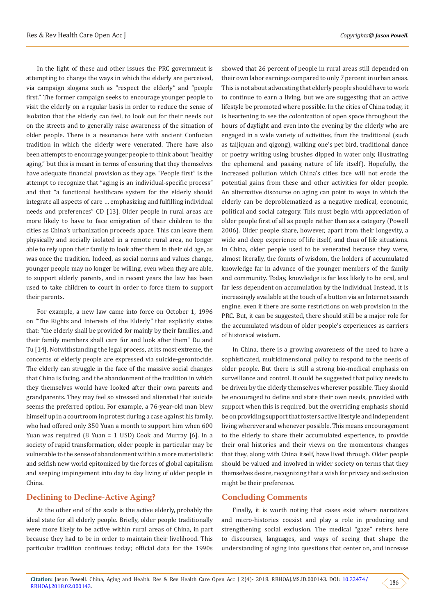In the light of these and other issues the PRC government is attempting to change the ways in which the elderly are perceived, via campaign slogans such as "respect the elderly" and "people first." The former campaign seeks to encourage younger people to visit the elderly on a regular basis in order to reduce the sense of isolation that the elderly can feel, to look out for their needs out on the streets and to generally raise awareness of the situation of older people. There is a resonance here with ancient Confucian tradition in which the elderly were venerated. There have also been attempts to encourage younger people to think about "healthy aging," but this is meant in terms of ensuring that they themselves have adequate financial provision as they age. "People first" is the attempt to recognize that "aging is an individual-specific process" and that "a functional healthcare system for the elderly should integrate all aspects of care … emphasizing and fulfilling individual needs and preferences" CD [13]. Older people in rural areas are more likely to have to face emigration of their children to the cities as China's urbanization proceeds apace. This can leave them physically and socially isolated in a remote rural area, no longer able to rely upon their family to look after them in their old age, as was once the tradition. Indeed, as social norms and values change, younger people may no longer be willing, even when they are able, to support elderly parents, and in recent years the law has been used to take children to court in order to force them to support their parents.

For example, a new law came into force on October 1, 1996 on "The Rights and Interests of the Elderly" that explicitly states that: "the elderly shall be provided for mainly by their families, and their family members shall care for and look after them" Du and Tu [14]. Notwithstanding the legal process, at its most extreme, the concerns of elderly people are expressed via suicide-gerontocide. The elderly can struggle in the face of the massive social changes that China is facing, and the abandonment of the tradition in which they themselves would have looked after their own parents and grandparents. They may feel so stressed and alienated that suicide seems the preferred option. For example, a 76-year-old man blew himself up in a courtroom in protest during a case against his family, who had offered only 350 Yuan a month to support him when 600 Yuan was required (8 Yuan = 1 USD) Cook and Murray [6]. In a society of rapid transformation, older people in particular may be vulnerable to the sense of abandonment within a more materialistic and selfish new world epitomized by the forces of global capitalism and seeping impingement into day to day living of older people in China.

# **Declining to Decline-Active Aging?**

At the other end of the scale is the active elderly, probably the ideal state for all elderly people. Briefly, older people traditionally were more likely to be active within rural areas of China, in part because they had to be in order to maintain their livelihood. This particular tradition continues today; official data for the 1990s

showed that 26 percent of people in rural areas still depended on their own labor earnings compared to only 7 percent in urban areas. This is not about advocating that elderly people should have to work to continue to earn a living, but we are suggesting that an active lifestyle be promoted where possible. In the cities of China today, it is heartening to see the colonization of open space throughout the hours of daylight and even into the evening by the elderly who are engaged in a wide variety of activities, from the traditional (such as taijiquan and qigong), walking one's pet bird, traditional dance or poetry writing using brushes dipped in water only, illustrating the ephemeral and passing nature of life itself). Hopefully, the increased pollution which China's cities face will not erode the potential gains from these and other activities for older people. An alternative discourse on aging can point to ways in which the elderly can be deproblematized as a negative medical, economic, political and social category. This must begin with appreciation of older people first of all as people rather than as a category (Powell 2006). Older people share, however, apart from their longevity, a wide and deep experience of life itself, and thus of life situations. In China, older people used to be venerated because they were, almost literally, the founts of wisdom, the holders of accumulated knowledge far in advance of the younger members of the family and community. Today, knowledge is far less likely to be oral, and far less dependent on accumulation by the individual. Instead, it is increasingly available at the touch of a button via an Internet search engine, even if there are some restrictions on web provision in the PRC. But, it can be suggested, there should still be a major role for the accumulated wisdom of older people's experiences as carriers of historical wisdom.

In China, there is a growing awareness of the need to have a sophisticated, multidimensional policy to respond to the needs of older people. But there is still a strong bio-medical emphasis on surveillance and control. It could be suggested that policy needs to be driven by the elderly themselves wherever possible. They should be encouraged to define and state their own needs, provided with support when this is required, but the overriding emphasis should be on providing support that fosters active lifestyle and independent living wherever and whenever possible. This means encouragement to the elderly to share their accumulated experience, to provide their oral histories and their views on the momentous changes that they, along with China itself, have lived through. Older people should be valued and involved in wider society on terms that they themselves desire, recognizing that a wish for privacy and seclusion might be their preference.

### **Concluding Comments**

Finally, it is worth noting that cases exist where narratives and micro-histories coexist and play a role in producing and strengthening social exclusion. The medical "gaze" refers here to discourses, languages, and ways of seeing that shape the understanding of aging into questions that center on, and increase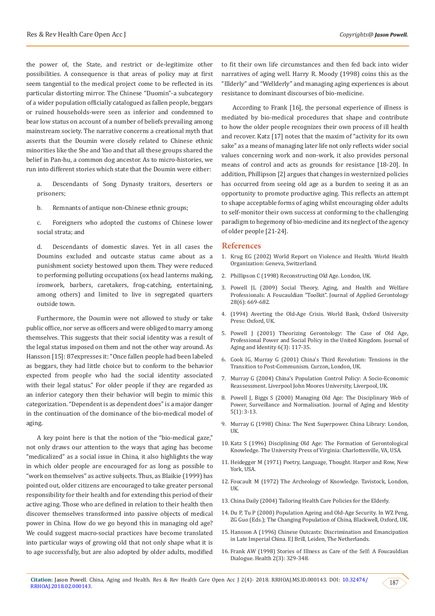the power of, the State, and restrict or de-legitimize other possibilities. A consequence is that areas of policy may at first seem tangential to the medical project come to be reflected in its particular distorting mirror. The Chinese "Duomin"-a subcategory of a wider population officially catalogued as fallen people, beggars or ruined households-were seen as inferior and condemned to bear low status on account of a number of beliefs prevailing among mainstream society. The narrative concerns a creational myth that asserts that the Doumin were closely related to Chinese ethnic minorities like the She and Yao and that all these groups shared the belief in Pan-hu, a common dog ancestor. As to micro-histories, we run into different stories which state that the Doumin were either:

- a. Descendants of Song Dynasty traitors, deserters or prisoners;
- b. Remnants of antique non-Chinese ethnic groups;
- c. Foreigners who adopted the customs of Chinese lower social strata; and

d. Descendants of domestic slaves. Yet in all cases the Doumins excluded and outcaste status came about as a punishment society bestowed upon them. They were reduced to performing polluting occupations (ox head lanterns making, ironwork, barbers, caretakers, frog-catching, entertaining, among others) and limited to live in segregated quarters outside town.

Furthermore, the Doumin were not allowed to study or take public office, nor serve as officers and were obliged to marry among themselves. This suggests that their social identity was a result of the legal status imposed on them and not the other way around. As Hansson [15]: 87expresses it: "Once fallen people had been labeled as beggars, they had little choice but to conform to the behavior expected from people who had the social identity associated with their legal status." For older people if they are regarded as an inferior category then their behavior will begin to mimic this categorization. "Dependent is as dependent does" is a major danger in the continuation of the dominance of the bio-medical model of aging.

A key point here is that the notion of the "bio-medical gaze," not only draws our attention to the ways that aging has become "medicalized" as a social issue in China, it also highlights the way in which older people are encouraged for as long as possible to "work on themselves" as active subjects. Thus, as Blaikie (1999) has pointed out, older citizens are encouraged to take greater personal responsibility for their health and for extending this period of their active aging. Those who are defined in relation to their health then discover themselves transformed into passive objects of medical power in China. How do we go beyond this in managing old age? We could suggest macro-social practices have become translated into particular ways of growing old that not only shape what it is to age successfully, but are also adopted by older adults, modified

to fit their own life circumstances and then fed back into wider narratives of aging well. Harry R. Moody (1998) coins this as the "Illderly" and "Wellderly" and managing aging experiences is about resistance to dominant discourses of bio-medicine.

According to Frank [16], the personal experience of illness is mediated by bio-medical procedures that shape and contribute to how the older people recognizes their own process of ill health and recover. Katz [17] notes that the maxim of "activity for its own sake" as a means of managing later life not only reflects wider social values concerning work and non-work, it also provides personal means of control and acts as grounds for resistance [18-20]. In addition, Phillipson [2] argues that changes in westernized policies has occurred from seeing old age as a burden to seeing it as an opportunity to promote productive aging. This reflects an attempt to shape acceptable forms of aging whilst encouraging older adults to self-monitor their own success at conforming to the challenging paradigm to hegemony of bio-medicine and its neglect of the agency of older people [21-24].

#### **References**

- 1. [Krug EG \(2002\) World Report on Violence and Health. World Health](http://www.who.int/violence_injury_prevention/violence/world_report/en/) [Organization: Geneva, Switzerland.](http://www.who.int/violence_injury_prevention/violence/world_report/en/)
- 2. [Phillipson C \(1998\) Reconstructing Old Age. London, UK.](https://au.sagepub.com/en-gb/oce/reconstructing-old-age/book204791)
- 3. [Powell JL \(2009\) Social Theory, Aging, and Health and Welfare](http://journals.sagepub.com/doi/10.1177/0733464809335596) [Professionals: A Foucauldian "Toolkit". Journal of Applied Gerontology](http://journals.sagepub.com/doi/10.1177/0733464809335596) [28\(6\): 669-682.](http://journals.sagepub.com/doi/10.1177/0733464809335596)
- 4. [\(1994\) Averting the Old-Age Crisis. World Bank, Oxford University](http://documents.worldbank.org/curated/en/973571468174557899/Averting-the-old-age-crisis-policies-to-protect-the-old-and-promote-growth) [Press: Oxford, UK.](http://documents.worldbank.org/curated/en/973571468174557899/Averting-the-old-age-crisis-policies-to-protect-the-old-and-promote-growth)
- 5. [Powell J \(2001\) Theorizing Gerontology: The Case of Old Age,](https://link.springer.com/article/10.1023/A:1011308231981) [Professional Power and Social Policy in the United Kingdom. Journal of](https://link.springer.com/article/10.1023/A:1011308231981) [Aging and Identity 6\(3\): 117-35.](https://link.springer.com/article/10.1023/A:1011308231981)
- 6. Cook IG, Murray G (2001) China's Third Revolution: Tensions in the Transition to Post-Communism. Curzon, London, UK.
- 7. Murray G (2004) China's Population Control Policy: A Socio-Economic Reassessment. Liverpool John Moores University, Liverpool, UK.
- 8. [Powell J, Biggs S \(2000\) Managing Old Age: The Disciplinary Web of](https://link.springer.com/article/10.1023/A:1009541314124) [Power, Surveillance and Normalisation. Journal of Aging and Identity](https://link.springer.com/article/10.1023/A:1009541314124) [5\(1\): 3-13.](https://link.springer.com/article/10.1023/A:1009541314124)
- 9. [Murray G \(1998\) China: The Next Superpower. China Library: London,](https://www.amazon.com/China-Superpower-Dilemmas-Continuity-Library/dp/1873410786) [UK.](https://www.amazon.com/China-Superpower-Dilemmas-Continuity-Library/dp/1873410786)
- 10. [Katz S \(1996\) Disciplining Old Age: The Formation of Gerontological](http://www.upress.virginia.edu/title/1507) [Knowledge. The University Press of Virginia: Charlottesville, VA, USA.](http://www.upress.virginia.edu/title/1507)
- 11. [Heidegger M \(1971\) Poetry, Language, Thought. Harper and Row, New](http://ssbothwell.com/documents/ebooksclub.org__Poetry__Language__Thought__Perennial_Classics_.pdf) [York, USA.](http://ssbothwell.com/documents/ebooksclub.org__Poetry__Language__Thought__Perennial_Classics_.pdf)
- 12. Foucault M (1972) The Archeology of Knowledge. Tavistock, London, UK.
- 13. China Daily (2004) Tailoring Health Care Policies for the Elderly.
- 14. Du P, Tu P (2000) Population Ageing and Old-Age Security. In WZ Peng, ZG Guo (Eds.); The Changing Population of China, Blackwell, Oxford, UK.
- 15. Hansson A (1996) Chinese Outcasts: Discrimination and Emancipation in Late Imperial China. EJ Brill, Leiden, The Netherlands.
- 16. [Frank AW \(1998\) Stories of Illness as Care of the Self: A Foucauldian](https://www.researchgate.net/publication/239771821_Stories_of_Illness_as_Care_of_the_Self_A_Foucauldian_Dialogue) [Dialogue. Health 2\(3\): 329-348.](https://www.researchgate.net/publication/239771821_Stories_of_Illness_as_Care_of_the_Self_A_Foucauldian_Dialogue)